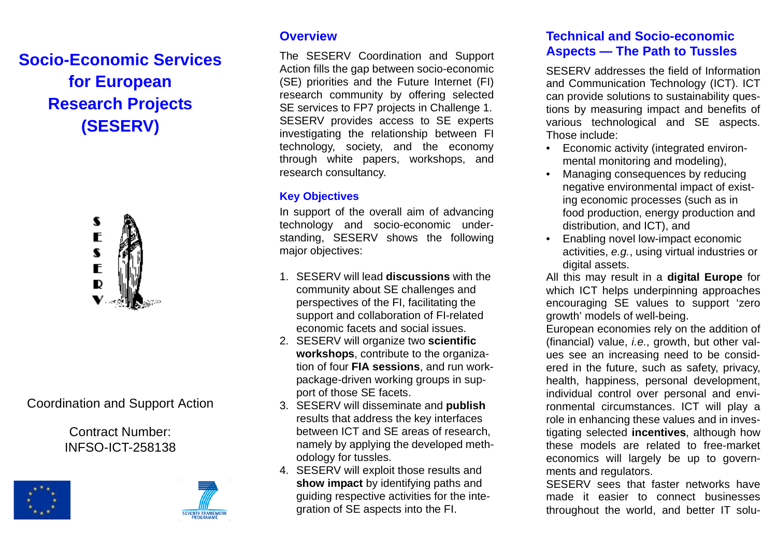# **Socio-Economic Services for European Research Projects (SESERV)**



Coordination and Support Action

# Contract Number: INFSO-ICT-258138





## **Overview**

The SESERV Coordination and Support Action fills the gap between socio-economic (SE) priorities and the Future Internet (FI) research community by offering selected SE services to FP7 projects in Challenge 1. SESERV provides access to SE experts investigating the relationship between FI technology, society, and the economy through white papers, workshops, and research consultancy.

## **Key Objectives**

In support of the overall aim of advancing technology and socio-economic understanding, SESERV shows the following major objectives:

- 1. SESERV will lead **discussions** with the community about SE challenges and perspectives of the FI, facilitating the support and collaboration of FI-related economic facets and social issues.
- 2. SESERV will organize two **scientific workshops**, contribute to the organization of four **FIA sessions**, and run workpackage-driven working groups in support of those SE facets.
- 3. SESERV will disseminate and **publish** results that address the key interfaces between ICT and SE areas of research, namely by applying the developed methodology for tussles.
- 4. SESERV will exploit those results and **show impact** by identifying paths and guiding respective activities for the integration of SE aspects into the FI.

## **Technical and Socio-economic Aspects — The Path to Tussles**

SESERV addresses the field of Informationand Communication Technology (ICT). ICT can provide solutions to sustainability questions by measuring impact and benefits of various technological and SE aspects. Those include:

- Economic activity (integrated environmental monitoring and modeling),
- Managing consequences by reducing negative environmental impact of existing economic processes (such as in food production, energy production and distribution, and ICT), and
- Enabling novel low-impact economic activities, *e.g.*, using virtual industries or digital assets.

All this may result in a **digital Europe** for which ICT helps underpinning approaches encouraging SE values to support 'zero growth' models of well-being.

European economies rely on the addition of (financial) value, *i.e.*, growth, but other values see an increasing need to be considered in the future, such as safety, privacy, health, happiness, personal development, individual control over personal and environmental circumstances. ICT will play a role in enhancing these values and in investigating selected **incentives**, although how these models are related to free-market economics will largely be up to governments and regulators.

SESERV sees that faster networks havemade it easier to connect businessesthroughout the world, and better IT solu